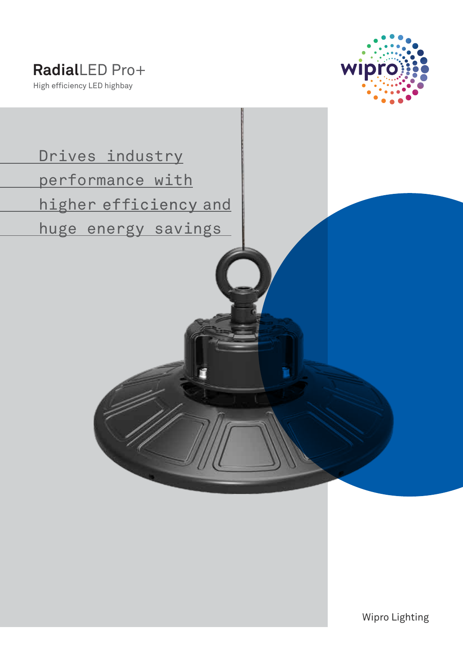

 Drives industry performance with higher efficiency and huge energy savings

Wipro Lighting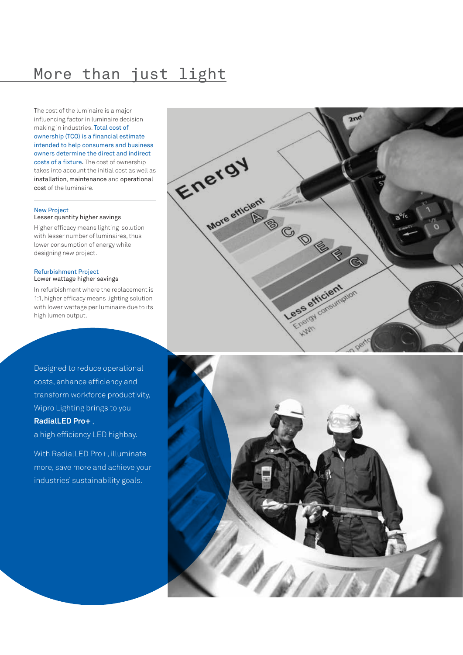# More than just light

The cost of the luminaire is a major influencing factor in luminaire decision making in industries. Total cost of ownership (TCO) is a financial estimate intended to help consumers and business owners determine the direct and indirect costs of a fixture. The cost of ownership takes into account the initial cost as well as installation, maintenance and operational cost of the luminaire.

#### New Project

Lesser quantity higher savings

Higher efficacy means lighting solution with lesser number of luminaires, thus lower consumption of energy while designing new project.

#### Refurbishment Project Lower wattage higher savings

In refurbishment where the replacement is 1:1, higher efficacy means lighting solution with lower wattage per luminaire due to its high lumen output.

Designed to reduce operational costs, enhance efficiency and transform workforce productivity, Wipro Lighting brings to you **RadialLED Pro+** ,

## a high efficiency LED highbay.

With RadialLED Pro+, illuminate more, save more and achieve your industries' sustainability goals.



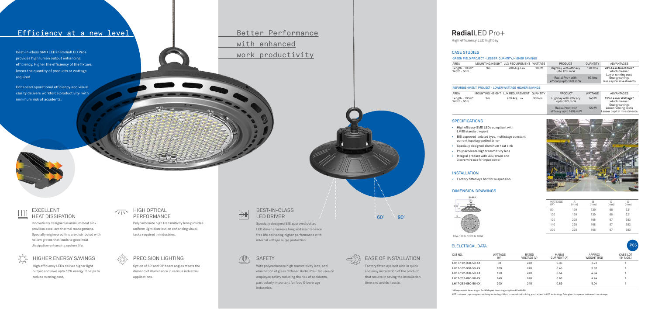## EXCELLENT HEAT DISSIPATION

## HIGHER ENERGY SAVINGS

# Better Performance with enhanced work productivity

Innovatively designed aluminium heat sink provides excellent thermal management. Specially engineered fins are distributed with hollow groves that leads to good heat dissipation enhancing system life.



Option of 60° and 90° beam angles meets the demand of illuminance in various industrial applications.



High efficiency LEDs deliver higher light output and save upto 55% energy. It helps to reduce running cost.

## $\sqrt{11}$  HIGH OPTICAL PERFORMANCE

# PRECISION LIGHTING

With polycarbonate high transmitivity lens, and elimination of glass diffuser, RadialPro+ focuses on employee safety reducing the risk of accidents, particularly important for food & beverage industries.

### BEST-IN-CLASS LED DRIVER

Specially designed BIS approved potted LED driver ensures a long and maintenance free life delivering higher performance with internal voltage surge protection.

# SAFETY SAFETY SAFETY



Factory fitted eye bolt aids in quick and easy installation of the product that results in saving the installation

time and avoids hassle.

Polycarbonate high transmitivity lens provides uniform light distribution enhancing visual tasks required in industries.

### ELELCTRICAL DATA



LED is an ever improving and evolving technology. Wipro is committed to bring you the best in LED technology. Data given is representative and can change.

(W) (mm) (mm) (mm) (mm) 80 199 139 68 321 100 199 139 68 321 120 228 168 97 383 140 228 168 97 383 200 228 168 97 383

## **Radial**LED Pro+

High efficiency LED highbay

### DIMENSION DRAWINGS

- High efficacy SMD LEDs compliant with LM80 standard report
- BIS approved isolated type, multistage constant current topology potted driver
- Specially designed aluminum heat sink
- Polycarbonate high transmitivity lens
- Integral product with LED, driver and 3 core wire out for input power

• Factory fitted eye bolt for suspension

### INSTALLATION

| CAT NO.            | WATTAGE<br>(W) | RATED<br>VOLTAGE (V) | <b>MAINS</b><br>CURRENT (A) | <b>APPROX</b><br>WEIGHT (KG) | CASE LOT<br>(IN NOS.) |
|--------------------|----------------|----------------------|-----------------------------|------------------------------|-----------------------|
| LH17-132-060-50-XX | 80             | 240                  | 0.36                        | 3.72                         |                       |
| LH17-162-060-50-XX | 100            | 240                  | 0.45                        | 3.82                         |                       |
| LH17-192-060-50-XX | 120            | 240                  | 0.54                        | 4.64                         |                       |
| LH17-232-060-50-XX | 140            | 240                  | 0.63                        | 4.74                         |                       |
| LH17-282-060-50-XX | 200            | 240                  | 0.89                        | 5.04                         |                       |

WATTAGE<br>(W)

IP65

80W, 100W, 120W & 140W

### CASE STUDIES

#### GREEN FIELD PROJECT - LESSER QUANTITY, HIGHER SAVINGS

| AREA                            |                 | MOUNTING HEIGHT LUX REQUIREMENT                      | <b>WATTAGE</b>  | <b>PRODUCT</b>                            | <b>QUANTITY</b> | <b>ADVANTAGES</b>                                                            |  |
|---------------------------------|-----------------|------------------------------------------------------|-----------------|-------------------------------------------|-----------------|------------------------------------------------------------------------------|--|
| Length - $100m*$<br>Width - 50m | 9m              | 200 Avg. Lux                                         | 100W            | Highbay with efficacy<br>upto 120Lm/W     | <b>120 Nos</b>  | 20% Less Quantities*<br>which means:                                         |  |
|                                 |                 |                                                      |                 | Radial Pro+ with<br>efficacy upto 140Lm/W | <b>99 Nos</b>   | Lower running cost<br>Energy savings<br>less capital investments             |  |
|                                 |                 | REFURBISHMENT PROJECT - LOWER WATTAGE HIGHER SAVINGS |                 |                                           |                 |                                                                              |  |
| <b>AREA</b>                     | MOUNTING HEIGHT | LUX REQUIREMENT                                      | <b>QUANTITY</b> | <b>PRODUCT</b>                            | <b>WATTAGE</b>  | ADVANTAGES                                                                   |  |
| Length - $100m*$<br>Width - 50m | 9m              | 200 Avg. Lux                                         | 90 Nos          | Highbay with efficacy<br>upto 120Lm/W     | 140W            | 15% Lesser Wattage*<br>which means:<br>Energy savings<br>Lower running costs |  |
|                                 |                 |                                                      |                 | Radial Pro+ with                          | 120W            |                                                                              |  |

efficacy upto 140Lm/W Lesser capital investments

### **SPECIFICATIONS**



# Efficiency at a new level

Best-in-class SMD LED in RadialLED Pro+ provides high lumen output enhancing efficiency. Higher the efficiency of the fixture, lesser the quantity of products or wattage required.

Enhanced operational efficiency and visual clarity delivers workforce productivity with minimum risk of accidents.